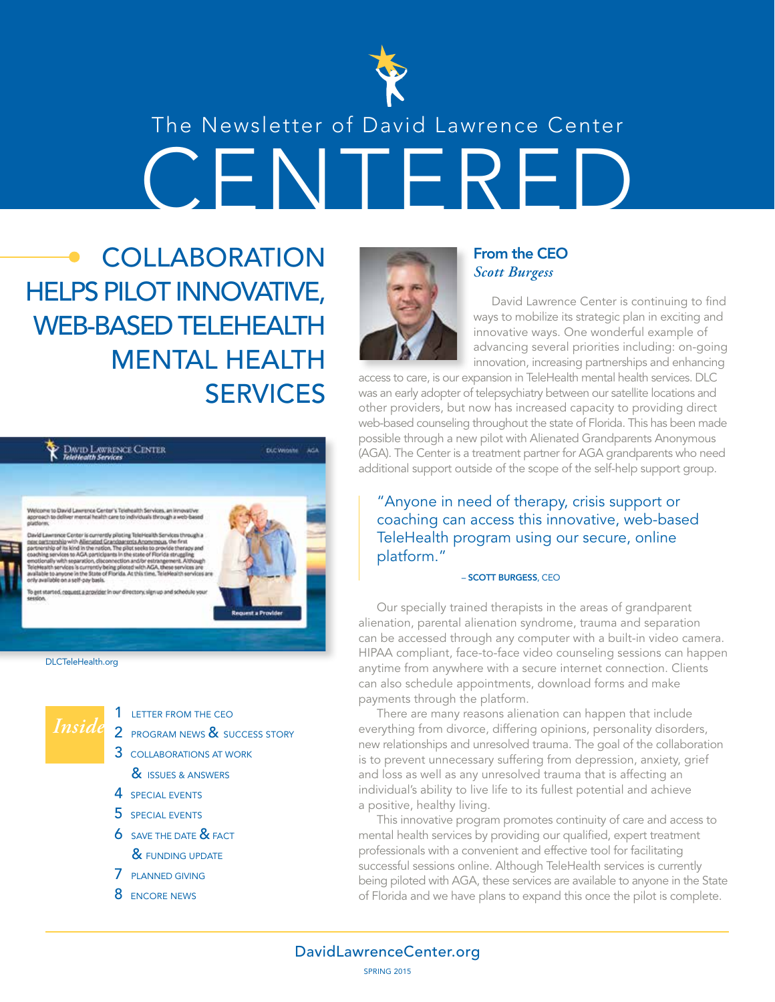

## CENTERED The Newsletter of David Lawrence Center

**COLLABORATION** HELPS PILOT INNOVATIVE, WEB-BASED TELEHEALTH MENTAL HEALTH SERVICES





1 LETTER FROM THE CEO

- 2 PROGRAM NEWS & SUCCESS STORY
- 3 COLLABORATIONS AT WORK & **ISSUES & ANSWERS**
- 4 SPECIAL EVENTS
- 5 SPECIAL EVENTS
- **6** SAVE THE DATE **&** FACT
	- & FUNDING UPDATE
- 7 PLANNED GIVING
- 8 ENCORE NEWS



#### From the CEO *Scott Burgess*

David Lawrence Center is continuing to find ways to mobilize its strategic plan in exciting and innovative ways. One wonderful example of advancing several priorities including: on-going innovation, increasing partnerships and enhancing

access to care, is our expansion in TeleHealth mental health services. DLC was an early adopter of telepsychiatry between our satellite locations and other providers, but now has increased capacity to providing direct web-based counseling throughout the state of Florida. This has been made possible through a new pilot with Alienated Grandparents Anonymous (AGA). The Center is a treatment partner for AGA grandparents who need additional support outside of the scope of the self-help support group.

"Anyone in need of therapy, crisis support or coaching can access this innovative, web-based TeleHealth program using our secure, online platform."

#### – SCOTT BURGESS, CEO

Our specially trained therapists in the areas of grandparent alienation, parental alienation syndrome, trauma and separation can be accessed through any computer with a built-in video camera. HIPAA compliant, face-to-face video counseling sessions can happen anytime from anywhere with a secure internet connection. Clients can also schedule appointments, download forms and make payments through the platform.

There are many reasons alienation can happen that include everything from divorce, differing opinions, personality disorders, new relationships and unresolved trauma. The goal of the collaboration is to prevent unnecessary suffering from depression, anxiety, grief and loss as well as any unresolved trauma that is affecting an individual's ability to live life to its fullest potential and achieve a positive, healthy living.

This innovative program promotes continuity of care and access to mental health services by providing our qualified, expert treatment professionals with a convenient and effective tool for facilitating successful sessions online. Although TeleHealth services is currently being piloted with AGA, these services are available to anyone in the State of Florida and we have plans to expand this once the pilot is complete.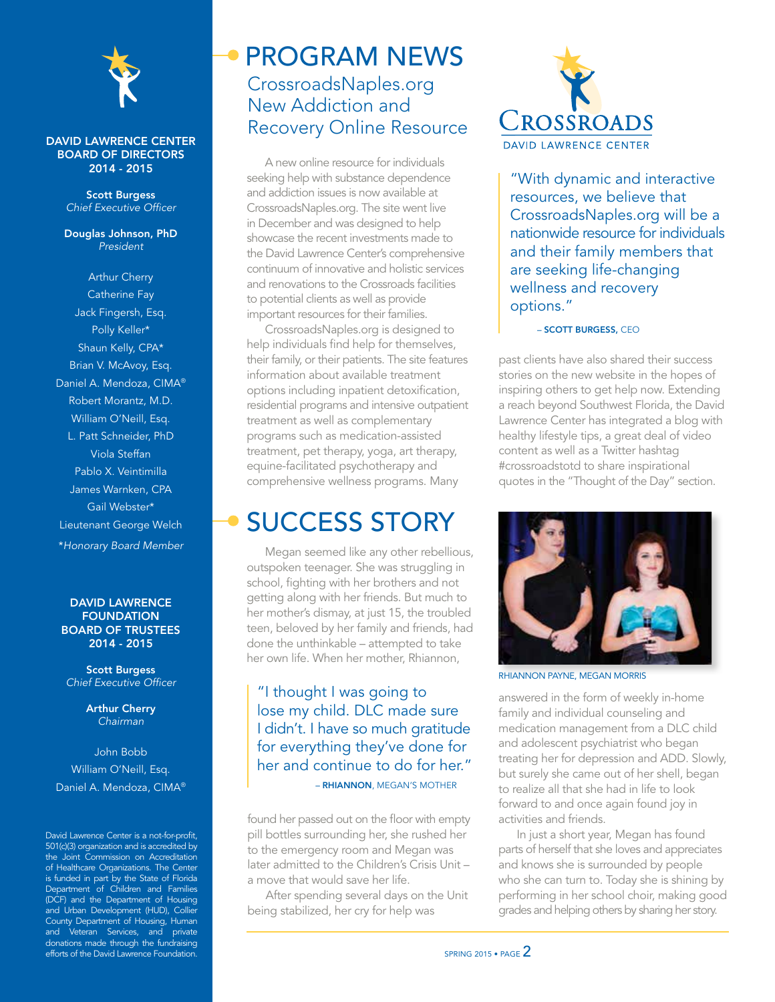

#### DAVID LAWRENCE CENTER BOARD OF DIRECTORS 2014 - 2015

Scott Burgess *Chief Executive Officer*

Douglas Johnson, PhD *President*

Arthur Cherry Catherine Fay Jack Fingersh, Esq. Polly Keller\* Shaun Kelly, CPA\* Brian V. McAvoy, Esq. Daniel A. Mendoza, CIMA® Robert Morantz, M.D. William O'Neill, Esq. L. Patt Schneider, PhD Viola Steffan Pablo X. Veintimilla James Warnken, CPA Gail Webster\* Lieutenant George Welch \**Honorary Board Member*

#### DAVID LAWRENCE **FOUNDATION** BOARD OF TRUSTEES 2014 - 2015

Scott Burgess *Chief Executive Officer*

> Arthur Cherry *Chairman*

John Bobb William O'Neill, Esq. Daniel A. Mendoza, CIMA®

David Lawrence Center is a not-for-profit, 501(c)(3) organization and is accredited by the Joint Commission on Accreditation of Healthcare Organizations. The Center is funded in part by the State of Florida Department of Children and Families (DCF) and the Department of Housing and Urban Development (HUD), Collier County Department of Housing, Human and Veteran Services, and private donations made through the fundraising efforts of the David Lawrence Foundation.

### CrossroadsNaples.org New Addiction and Recovery Online Resource PROGRAM NEWS

A new online resource for individuals seeking help with substance dependence and addiction issues is now available at CrossroadsNaples.org. The site went live in December and was designed to help showcase the recent investments made to the David Lawrence Center's comprehensive continuum of innovative and holistic services and renovations to the Crossroads facilities to potential clients as well as provide important resources for their families.

CrossroadsNaples.org is designed to help individuals find help for themselves, their family, or their patients. The site features information about available treatment options including inpatient detoxification, residential programs and intensive outpatient treatment as well as complementary programs such as medication-assisted treatment, pet therapy, yoga, art therapy, equine-facilitated psychotherapy and comprehensive wellness programs. Many

### SUCCESS STORY

Megan seemed like any other rebellious, outspoken teenager. She was struggling in school, fighting with her brothers and not getting along with her friends. But much to her mother's dismay, at just 15, the troubled teen, beloved by her family and friends, had done the unthinkable – attempted to take her own life. When her mother, Rhiannon,

#### "I thought I was going to lose my child. DLC made sure I didn't. I have so much gratitude for everything they've done for her and continue to do for her." – RHIANNON, MEGAN'S MOTHER

found her passed out on the floor with empty pill bottles surrounding her, she rushed her to the emergency room and Megan was later admitted to the Children's Crisis Unit – a move that would save her life.

After spending several days on the Unit being stabilized, her cry for help was



"With dynamic and interactive resources, we believe that CrossroadsNaples.org will be a nationwide resource for individuals and their family members that are seeking life-changing wellness and recovery options."

– SCOTT BURGESS, CEO

past clients have also shared their success stories on the new website in the hopes of inspiring others to get help now. Extending a reach beyond Southwest Florida, the David Lawrence Center has integrated a blog with healthy lifestyle tips, a great deal of video content as well as a Twitter hashtag #crossroadstotd to share inspirational quotes in the "Thought of the Day" section.



RHIANNON PAYNE, MEGAN MORRIS

answered in the form of weekly in-home family and individual counseling and medication management from a DLC child and adolescent psychiatrist who began treating her for depression and ADD. Slowly, but surely she came out of her shell, began to realize all that she had in life to look forward to and once again found joy in activities and friends.

In just a short year, Megan has found parts of herself that she loves and appreciates and knows she is surrounded by people who she can turn to. Today she is shining by performing in her school choir, making good grades and helping others by sharing her story.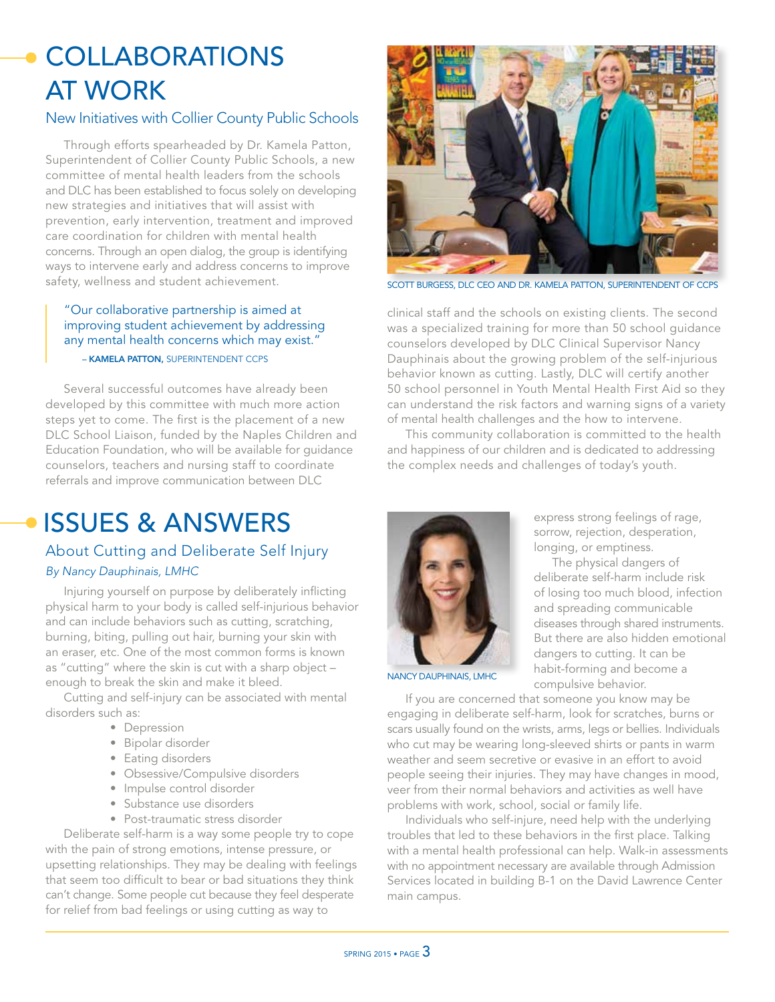## **COLLABORATIONS** AT WORK

#### New Initiatives with Collier County Public Schools

Through efforts spearheaded by Dr. Kamela Patton, Superintendent of Collier County Public Schools, a new committee of mental health leaders from the schools and DLC has been established to focus solely on developing new strategies and initiatives that will assist with prevention, early intervention, treatment and improved care coordination for children with mental health concerns. Through an open dialog, the group is identifying ways to intervene early and address concerns to improve safety, wellness and student achievement.

#### "Our collaborative partnership is aimed at improving student achievement by addressing any mental health concerns which may exist." – KAMELA PATTON, SUPERINTENDENT CCPS

Several successful outcomes have already been developed by this committee with much more action steps yet to come. The first is the placement of a new DLC School Liaison, funded by the Naples Children and Education Foundation, who will be available for guidance counselors, teachers and nursing staff to coordinate referrals and improve communication between DLC



SCOTT BURGESS, DLC CEO AND DR. KAMELA PATTON, SUPERINTENDENT OF

clinical staff and the schools on existing clients. The second was a specialized training for more than 50 school guidance counselors developed by DLC Clinical Supervisor Nancy Dauphinais about the growing problem of the self-injurious behavior known as cutting. Lastly, DLC will certify another 50 school personnel in Youth Mental Health First Aid so they can understand the risk factors and warning signs of a variety of mental health challenges and the how to intervene.

This community collaboration is committed to the health and happiness of our children and is dedicated to addressing the complex needs and challenges of today's youth.

## ISSUES & ANSWERS

#### About Cutting and Deliberate Self Injury *By Nancy Dauphinais, LMHC*

Injuring yourself on purpose by deliberately inflicting physical harm to your body is called self-injurious behavior and can include behaviors such as cutting, scratching, burning, biting, pulling out hair, burning your skin with an eraser, etc. One of the most common forms is known as "cutting" where the skin is cut with a sharp object – enough to break the skin and make it bleed.

Cutting and self-injury can be associated with mental disorders such as:

- Depression
- Bipolar disorder
- Eating disorders
- Obsessive/Compulsive disorders
- Impulse control disorder
- Substance use disorders
- Post-traumatic stress disorder

Deliberate self-harm is a way some people try to cope with the pain of strong emotions, intense pressure, or upsetting relationships. They may be dealing with feelings that seem too difficult to bear or bad situations they think can't change. Some people cut because they feel desperate for relief from bad feelings or using cutting as way to



express strong feelings of rage, sorrow, rejection, desperation, longing, or emptiness.

The physical dangers of deliberate self-harm include risk of losing too much blood, infection and spreading communicable diseases through shared instruments. But there are also hidden emotional dangers to cutting. It can be habit-forming and become a compulsive behavior.

NANCY DAUPHINAIS, LMHC

If you are concerned that someone you know may be engaging in deliberate self-harm, look for scratches, burns or scars usually found on the wrists, arms, legs or bellies. Individuals who cut may be wearing long-sleeved shirts or pants in warm weather and seem secretive or evasive in an effort to avoid people seeing their injuries. They may have changes in mood, veer from their normal behaviors and activities as well have problems with work, school, social or family life.

Individuals who self-injure, need help with the underlying troubles that led to these behaviors in the first place. Talking with a mental health professional can help. Walk-in assessments with no appointment necessary are available through Admission Services located in building B-1 on the David Lawrence Center main campus.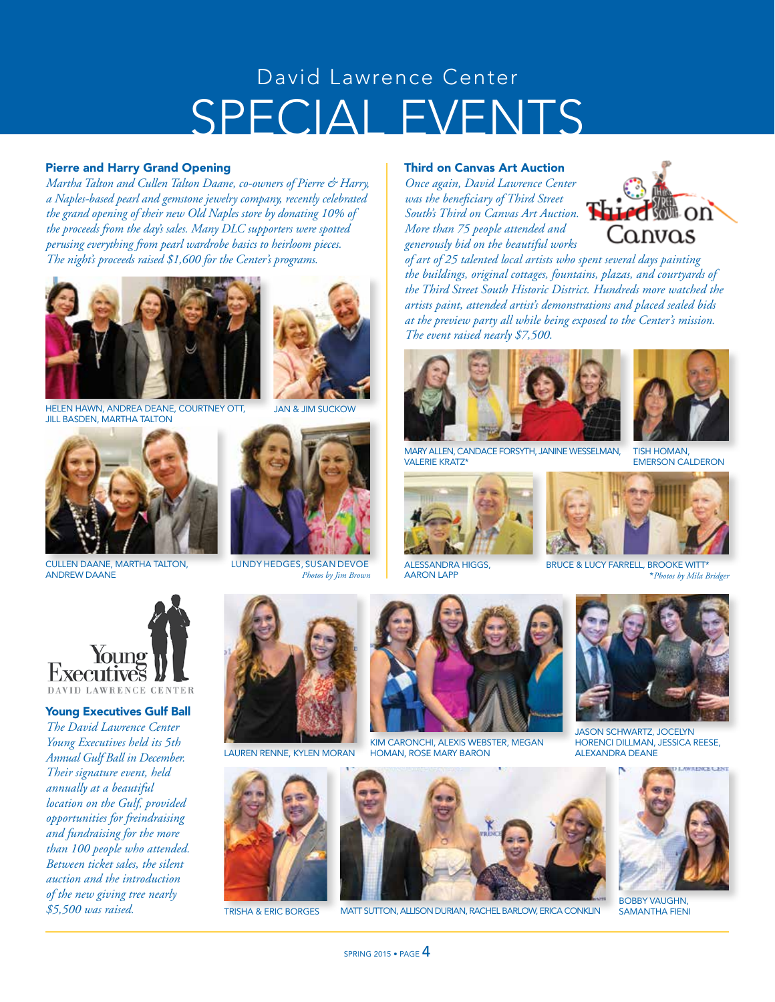## SPECIAL EVENTS David Lawrence Center

#### Pierre and Harry Grand Opening

*Martha Talton and Cullen Talton Daane, co-owners of Pierre & Harry, a Naples-based pearl and gemstone jewelry company, recently celebrated the grand opening of their new Old Naples store by donating 10% of the proceeds from the day's sales. Many DLC supporters were spotted perusing everything from pearl wardrobe basics to heirloom pieces. The night's proceeds raised \$1,600 for the Center's programs.*



HELEN HAWN, ANDREA DEANE, COURTNEY OTT, JAN & JIM SUCKOW **JILL BASDEN, MARTHA TALTON** 



CULLEN DAANE, MARTHA TALTON, LUNDY HEDGES, SUSAN DEVOE ANDREW DAANE





#### Third on Canvas Art Auction

*Once again, David Lawrence Center was the beneficiary of Third Street South's Third on Canvas Art Auction. More than 75 people attended and generously bid on the beautiful works* 



*of art of 25 talented local artists who spent several days painting the buildings, original cottages, fountains, plazas, and courtyards of the Third Street South Historic District. Hundreds more watched the artists paint, attended artist's demonstrations and placed sealed bids at the preview party all while being exposed to the Center's mission. The event raised nearly \$7,500.*





MARY ALLEN, CANDACE FORSYTH, JANINE WESSELMAN, VALERIE KRATZ\*



ALESSANDRA HIGGS, AARON LAPP

*Photos by Jim Brown* \**Photos by Mila Bridger* BRUCE & LUCY FARRELL, BROOKE WITT<sup>\*</sup>



Young Executives Gulf Ball *The David Lawrence Center Young Executives held its 5th Annual Gulf Ball in December. Their signature event, held annually at a beautiful location on the Gulf, provided opportunities for freindraising and fundraising for the more than 100 people who attended. Between ticket sales, the silent auction and the introduction of the new giving tree nearly \$5,500 was raised.* 



LAUREN RENNE, KYLEN MORAN



TRISHA & ERIC BORGES MATT SUTTON, ALLISON DURIAN, RACHEL BARLOW, ERICA CONKLIN



KIM CARONCHI, ALEXIS WEBSTER, MEGAN HOMAN, ROSE MARY BARON





JASON SCHWARTZ, JOCELYN HORENCI DILLMAN, JESSICA REESE, ALEXANDRA DEANE



BOBBY VAUGHN, SAMANTHA FIENI





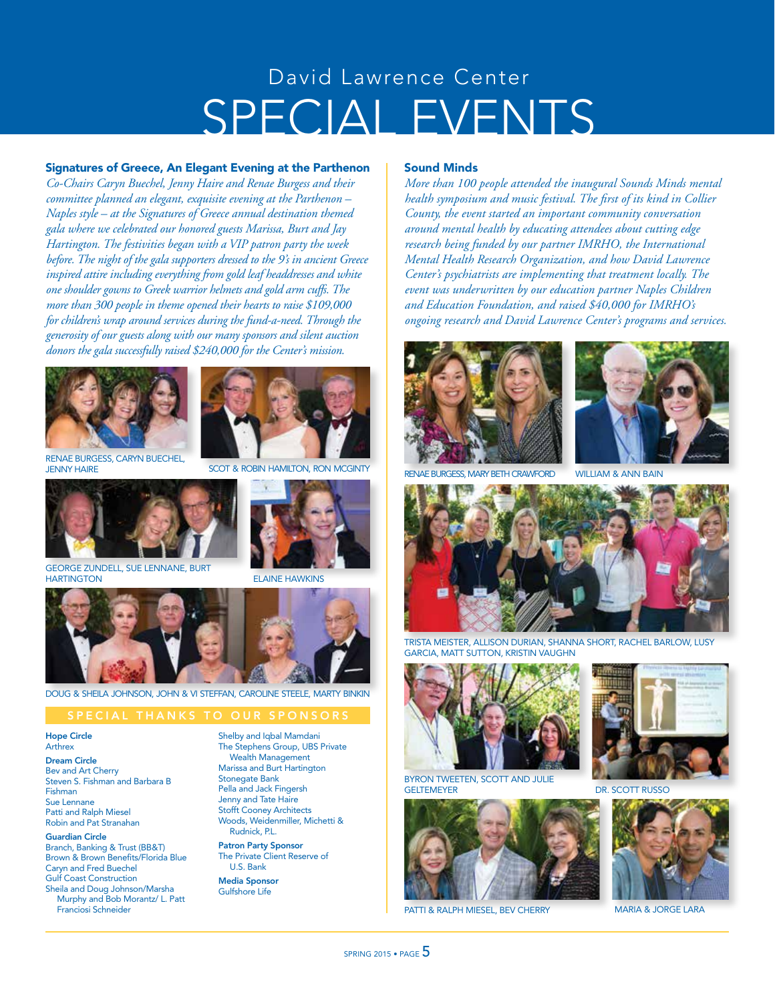## SPECIAL EVENTS David Lawrence Center

#### Signatures of Greece, An Elegant Evening at the Parthenon

*Co-Chairs Caryn Buechel, Jenny Haire and Renae Burgess and their committee planned an elegant, exquisite evening at the Parthenon – Naples style – at the Signatures of Greece annual destination themed gala where we celebrated our honored guests Marissa, Burt and Jay Hartington. The festivities began with a VIP patron party the week before. The night of the gala supporters dressed to the 9's in ancient Greece inspired attire including everything from gold leaf headdresses and white one shoulder gowns to Greek warrior helmets and gold arm cuffs. The more than 300 people in theme opened their hearts to raise \$109,000 for children's wrap around services during the fund-a-need. Through the generosity of our guests along with our many sponsors and silent auction donors the gala successfully raised \$240,000 for the Center's mission.* 





SCOT & ROBIN HAMILTON, RON MCGINT

RENAE BURGESS, CARYN BUECHEL, JENNY HAIRE



**GEORGE ZUNDELL, SUE LENNANE, BURT<br>HARTINGTON** 

**ELAINE HAWKINS** 



DOUG & SHEILA JOHNSON, JOHN & VI STEFFAN, CAROLINE STEELE, MARTY BINKIN

Hope Circle Arthrex

Dream Circle Bev and Art Cherry Steven S. Fishman and Barbara B Fishman Sue Lennane Patti and Ralph Miesel Robin and Pat Stranahan

Guardian Circle Branch, Banking & Trust (BB&T) Brown & Brown Benefits/Florida Blue Caryn and Fred Buechel Gulf Coast Construction Sheila and Doug Johnson/Marsha Murphy and Bob Morantz/ L. Patt Franciosi Schneider

Shelby and Iqbal Mamdani The Stephens Group, UBS Private Wealth Management Marissa and Burt Hartington Stonegate Bank Pella and Jack Fingersh Jenny and Tate Haire Stofft Cooney Architects Woods, Weidenmiller, Michetti & Rudnick, P.L. Patron Party Sponsor The Private Client Reserve of U.S. Bank

Media Sponsor Gulfshore Life

#### Sound Minds

*More than 100 people attended the inaugural Sounds Minds mental health symposium and music festival. The first of its kind in Collier County, the event started an important community conversation around mental health by educating attendees about cutting edge research being funded by our partner IMRHO, the International Mental Health Research Organization, and how David Lawrence Center's psychiatrists are implementing that treatment locally. The event was underwritten by our education partner Naples Children and Education Foundation, and raised \$40,000 for IMRHO's ongoing research and David Lawrence Center's programs and services.* 





BURGESS, MARY BETH CRAWFORD WILLIAM & ANN BAIN



TRISTA MEISTER, ALLISON DURIAN, SHANNA SHORT, RACHEL BARLOW, LUSY GARCIA, MATT SUTTON, KRISTIN VAUGHN



BYRON TWEETEN, SCOTT AND JULIE<br>GELTEMEYER



PATTI & RALPH MIESEL, BEV CHERRY MARIA & JORGE LARA



DR. SCOTT RUSSO

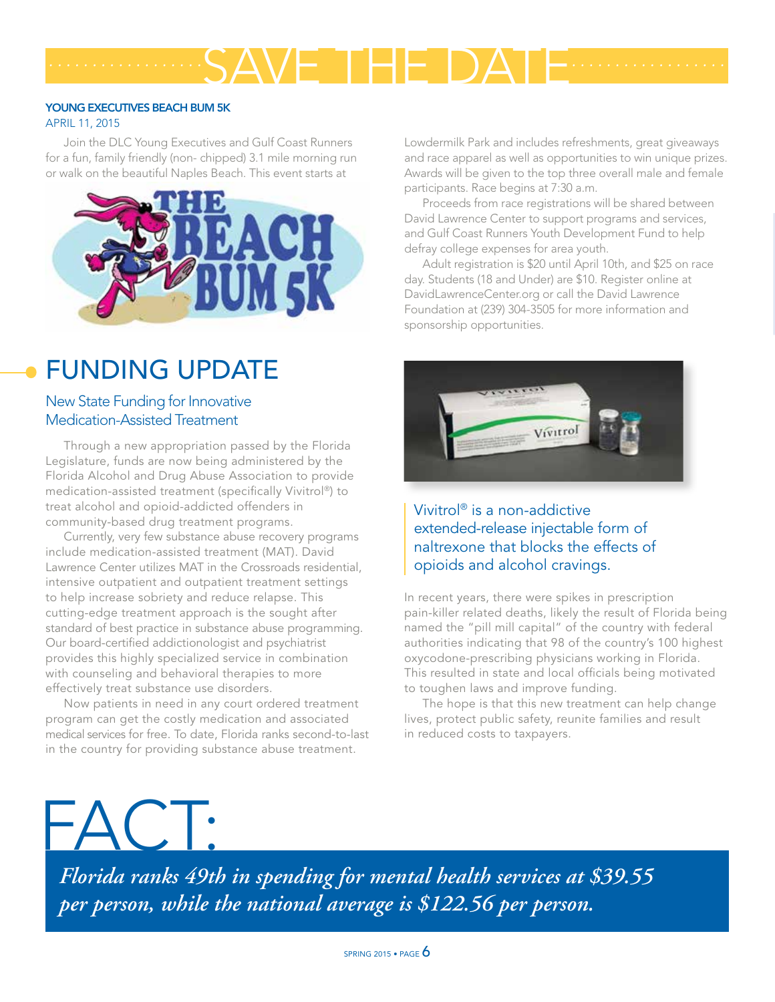## SAVE THE DATE *.................. ..................*

#### YOUNG EXECUTIVES BEACH BUM 5K

#### APRIL 11, 2015

Join the DLC Young Executives and Gulf Coast Runners for a fun, family friendly (non- chipped) 3.1 mile morning run or walk on the beautiful Naples Beach. This event starts at



### FUNDING UPDATE

#### New State Funding for Innovative Medication-Assisted Treatment

Through a new appropriation passed by the Florida Legislature, funds are now being administered by the Florida Alcohol and Drug Abuse Association to provide medication-assisted treatment (specifically Vivitrol®) to treat alcohol and opioid-addicted offenders in community-based drug treatment programs.

Currently, very few substance abuse recovery programs include medication-assisted treatment (MAT). David Lawrence Center utilizes MAT in the Crossroads residential, intensive outpatient and outpatient treatment settings to help increase sobriety and reduce relapse. This cutting-edge treatment approach is the sought after standard of best practice in substance abuse programming. Our board-certified addictionologist and psychiatrist provides this highly specialized service in combination with counseling and behavioral therapies to more effectively treat substance use disorders.

Now patients in need in any court ordered treatment program can get the costly medication and associated medical services for free. To date, Florida ranks second-to-last in the country for providing substance abuse treatment.

 $\begin{array}{c} \begin{array}{c} \end{array} \end{array}$ 

Lowdermilk Park and includes refreshments, great giveaways and race apparel as well as opportunities to win unique prizes. Awards will be given to the top three overall male and female participants. Race begins at 7:30 a.m.

Proceeds from race registrations will be shared between David Lawrence Center to support programs and services, and Gulf Coast Runners Youth Development Fund to help defray college expenses for area youth.

Adult registration is \$20 until April 10th, and \$25 on race day. Students (18 and Under) are \$10. Register online at DavidLawrenceCenter.org or call the David Lawrence Foundation at (239) 304-3505 for more information and sponsorship opportunities.



Vivitrol® is a non-addictive extended-release injectable form of naltrexone that blocks the effects of opioids and alcohol cravings.

In recent years, there were spikes in prescription pain-killer related deaths, likely the result of Florida being named the "pill mill capital" of the country with federal authorities indicating that 98 of the country's 100 highest oxycodone-prescribing physicians working in Florida. This resulted in state and local officials being motivated to toughen laws and improve funding.

The hope is that this new treatment can help change lives, protect public safety, reunite families and result in reduced costs to taxpayers.

*Florida ranks 49th in spending for mental health services at \$39.55 per person, while the national average is \$122.56 per person.*

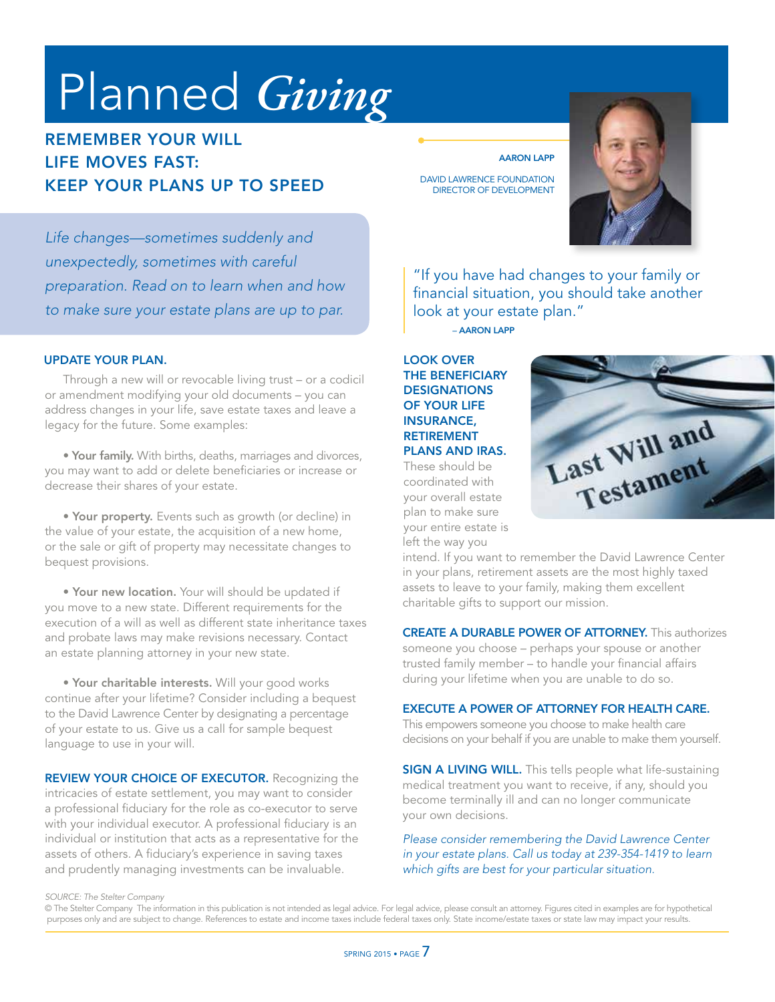# Planned *Giving*

#### REMEMBER YOUR WILL LIFE MOVES FAST: KEEP YOUR PLANS UP TO SPEED

AARON LAPP

DAVID LAWRENCE FOUNDATION DIRECTOR OF DEVELOPMENT



*Life changes—sometimes suddenly and unexpectedly, sometimes with careful preparation. Read on to learn when and how to make sure your estate plans are up to par.* 

#### UPDATE YOUR PLAN. LOOK OVER

Through a new will or revocable living trust – or a codicil or amendment modifying your old documents – you can address changes in your life, save estate taxes and leave a legacy for the future. Some examples:

• Your family. With births, deaths, marriages and divorces, you may want to add or delete beneficiaries or increase or decrease their shares of your estate.

• Your property. Events such as growth (or decline) in the value of your estate, the acquisition of a new home, or the sale or gift of property may necessitate changes to bequest provisions.

• Your new location. Your will should be updated if you move to a new state. Different requirements for the execution of a will as well as different state inheritance taxes and probate laws may make revisions necessary. Contact an estate planning attorney in your new state.

• Your charitable interests. Will your good works continue after your lifetime? Consider including a bequest to the David Lawrence Center by designating a percentage of your estate to us. Give us a call for sample bequest language to use in your will.

REVIEW YOUR CHOICE OF EXECUTOR. Recognizing the intricacies of estate settlement, you may want to consider a professional fiduciary for the role as co-executor to serve with your individual executor. A professional fiduciary is an individual or institution that acts as a representative for the assets of others. A fiduciary's experience in saving taxes and prudently managing investments can be invaluable.

"If you have had changes to your family or financial situation, you should take another look at your estate plan."

– AARON LAPP

#### THE BENEFICIARY **DESIGNATIONS** OF YOUR LIFE INSURANCE, RETIREMENT PLANS AND IRAS.

These should be coordinated with your overall estate plan to make sure your entire estate is left the way you



intend. If you want to remember the David Lawrence Center in your plans, retirement assets are the most highly taxed assets to leave to your family, making them excellent charitable gifts to support our mission.

CREATE A DURABLE POWER OF ATTORNEY. This authorizes someone you choose – perhaps your spouse or another trusted family member – to handle your financial affairs during your lifetime when you are unable to do so.

#### EXECUTE A POWER OF ATTORNEY FOR HEALTH CARE.

This empowers someone you choose to make health care decisions on your behalf if you are unable to make them yourself.

**SIGN A LIVING WILL.** This tells people what life-sustaining medical treatment you want to receive, if any, should you become terminally ill and can no longer communicate your own decisions.

*Please consider remembering the David Lawrence Center in your estate plans. Call us today at 239-354-1419 to learn which gifts are best for your particular situation.*

*SOURCE: The Stelter Company* 

© The Stelter Company The information in this publication is not intended as legal advice. For legal advice, please consult an attorney. Figures cited in examples are for hypothetical purposes only and are subject to change. References to estate and income taxes include federal taxes only. State income/estate taxes or state law may impact your results.